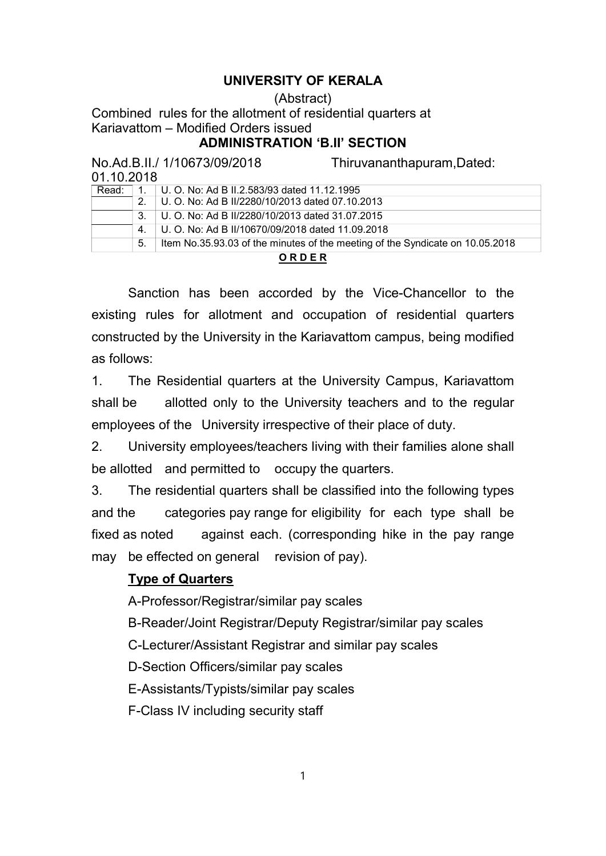# UNIVERSITY OF KERALA

#### (Abstract)

Combined rules for the allotment of residential quarters at Kariavattom – Modified Orders issued

### ADMINISTRATION 'B.II' SECTION

| No.Ad.B.II./ 1/10673/09/2018 |    |                                                  | Thiruvananthapuram, Dated:                                                    |  |
|------------------------------|----|--------------------------------------------------|-------------------------------------------------------------------------------|--|
| 01.10.2018                   |    |                                                  |                                                                               |  |
| Read:                        |    | U. O. No: Ad B II.2.583/93 dated 11.12.1995      |                                                                               |  |
|                              | 2. | U. O. No: Ad B II/2280/10/2013 dated 07.10.2013  |                                                                               |  |
|                              | 3. | U. O. No: Ad B II/2280/10/2013 dated 31.07.2015  |                                                                               |  |
|                              | 4. | U. O. No: Ad B II/10670/09/2018 dated 11.09.2018 |                                                                               |  |
|                              | 5. |                                                  | Item No.35.93.03 of the minutes of the meeting of the Syndicate on 10.05.2018 |  |
|                              |    | <b>ORDER</b>                                     |                                                                               |  |

#### O R D E R

Sanction has been accorded by the Vice-Chancellor to the existing rules for allotment and occupation of residential quarters constructed by the University in the Kariavattom campus, being modified as follows:

1. The Residential quarters at the University Campus, Kariavattom shall be allotted only to the University teachers and to the regular employees of the University irrespective of their place of duty.

2. University employees/teachers living with their families alone shall be allotted and permitted to occupy the quarters.

3. The residential quarters shall be classified into the following types and the categories pay range for eligibility for each type shall be fixed as noted against each. (corresponding hike in the pay range may be effected on general revision of pay).

## Type of Quarters

A-Professor/Registrar/similar pay scales

B-Reader/Joint Registrar/Deputy Registrar/similar pay scales

C-Lecturer/Assistant Registrar and similar pay scales

D-Section Officers/similar pay scales

E-Assistants/Typists/similar pay scales

F-Class IV including security staff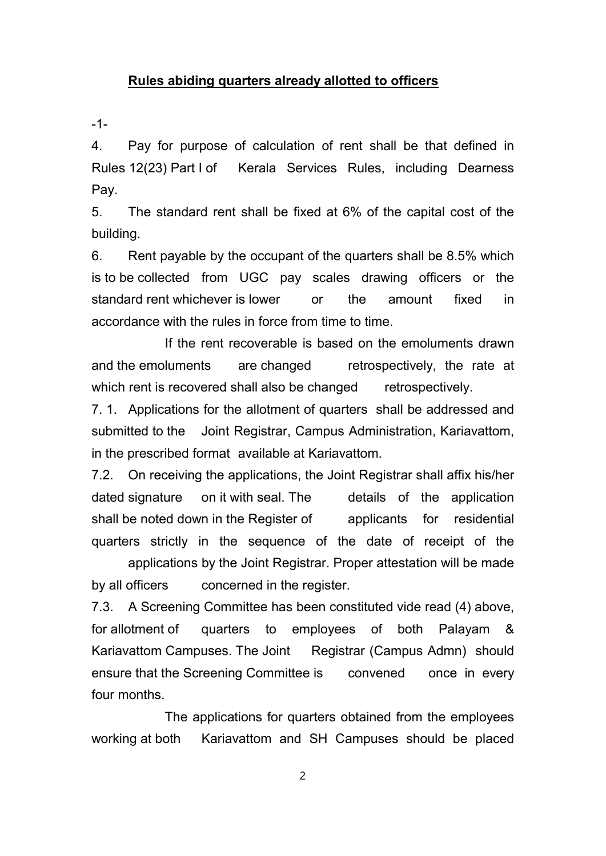### Rules abiding quarters already allotted to officers

-1-

4. Pay for purpose of calculation of rent shall be that defined in Rules 12(23) Part I of Kerala Services Rules, including Dearness Pay.

5. The standard rent shall be fixed at 6% of the capital cost of the building.

6. Rent payable by the occupant of the quarters shall be 8.5% which is to be collected from UGC pay scales drawing officers or the standard rent whichever is lower or the amount fixed in accordance with the rules in force from time to time.

If the rent recoverable is based on the emoluments drawn and the emoluments are changed retrospectively, the rate at which rent is recovered shall also be changed retrospectively.

7. 1. Applications for the allotment of quarters shall be addressed and submitted to the Joint Registrar, Campus Administration, Kariavattom, in the prescribed format available at Kariavattom.

7.2. On receiving the applications, the Joint Registrar shall affix his/her dated signature on it with seal. The details of the application shall be noted down in the Register of applicants for residential quarters strictly in the sequence of the date of receipt of the

applications by the Joint Registrar. Proper attestation will be made by all officers concerned in the register.

7.3. A Screening Committee has been constituted vide read (4) above, for allotment of quarters to employees of both Palayam & Kariavattom Campuses. The Joint Registrar (Campus Admn) should ensure that the Screening Committee is convened once in every four months.

The applications for quarters obtained from the employees working at both Kariavattom and SH Campuses should be placed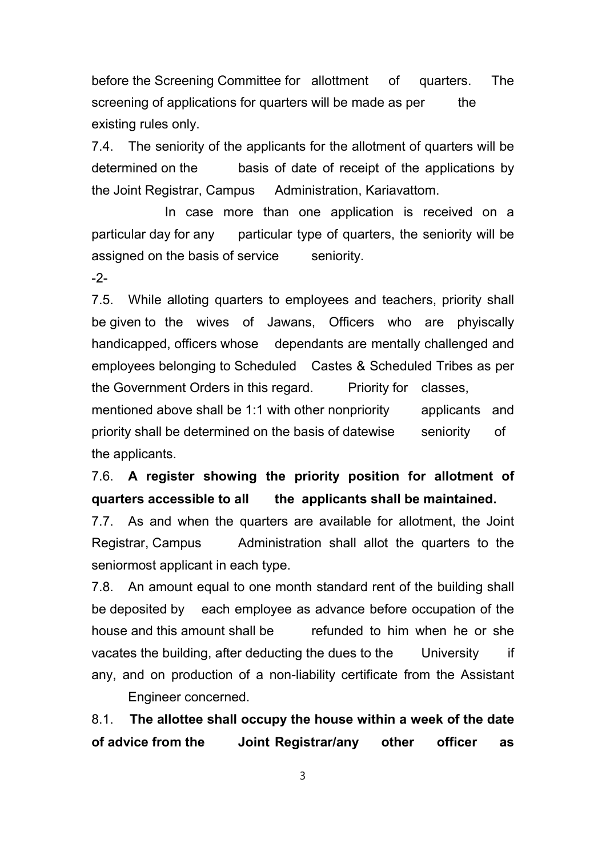before the Screening Committee for allottment of quarters. The screening of applications for quarters will be made as per the existing rules only.

7.4. The seniority of the applicants for the allotment of quarters will be determined on the basis of date of receipt of the applications by the Joint Registrar, Campus Administration, Kariavattom.

In case more than one application is received on a particular day for any particular type of quarters, the seniority will be assigned on the basis of service seniority.

-2-

7.5. While alloting quarters to employees and teachers, priority shall be given to the wives of Jawans, Officers who are phyiscally handicapped, officers whose dependants are mentally challenged and employees belonging to Scheduled Castes & Scheduled Tribes as per the Government Orders in this regard. Priority for classes, mentioned above shall be 1:1 with other nonpriority applicants and

priority shall be determined on the basis of datewise seniority of the applicants.

7.6. A register showing the priority position for allotment of quarters accessible to all the applicants shall be maintained.

7.7. As and when the quarters are available for allotment, the Joint Registrar, Campus Administration shall allot the quarters to the seniormost applicant in each type.

7.8. An amount equal to one month standard rent of the building shall be deposited by each employee as advance before occupation of the house and this amount shall be refunded to him when he or she vacates the building, after deducting the dues to the University if any, and on production of a non-liability certificate from the Assistant Engineer concerned.

8.1. The allottee shall occupy the house within a week of the date of advice from the Joint Registrar/any other officer as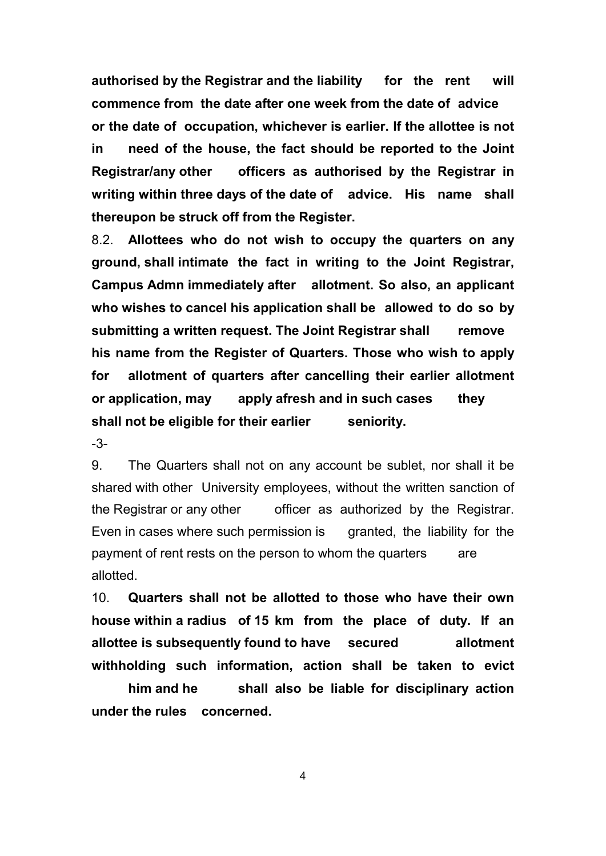authorised by the Registrar and the liability for the rent will commence from the date after one week from the date of advice or the date of occupation, whichever is earlier. If the allottee is not in need of the house, the fact should be reported to the Joint Registrar/any other officers as authorised by the Registrar in writing within three days of the date of advice. His name shall thereupon be struck off from the Register.

8.2. Allottees who do not wish to occupy the quarters on any ground, shall intimate the fact in writing to the Joint Registrar, Campus Admn immediately after allotment. So also, an applicant who wishes to cancel his application shall be allowed to do so by submitting a written request. The Joint Registrar shall remove his name from the Register of Quarters. Those who wish to apply for allotment of quarters after cancelling their earlier allotment or application, may apply afresh and in such cases they shall not be eligible for their earlier seniority.

-3-

9. The Quarters shall not on any account be sublet, nor shall it be shared with other University employees, without the written sanction of the Registrar or any other officer as authorized by the Registrar. Even in cases where such permission is granted, the liability for the payment of rent rests on the person to whom the quarters are allotted.

10. Quarters shall not be allotted to those who have their own house within a radius of 15 km from the place of duty. If an allottee is subsequently found to have secured allotment withholding such information, action shall be taken to evict

him and he shall also be liable for disciplinary action under the rules concerned.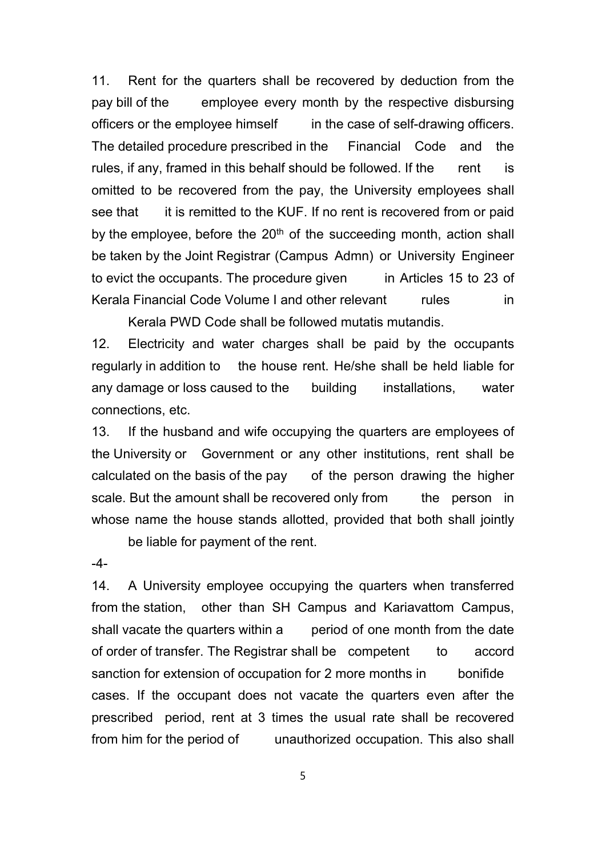11. Rent for the quarters shall be recovered by deduction from the pay bill of the employee every month by the respective disbursing officers or the employee himself in the case of self-drawing officers. The detailed procedure prescribed in the Financial Code and the rules, if any, framed in this behalf should be followed. If the rent is omitted to be recovered from the pay, the University employees shall see that it is remitted to the KUF. If no rent is recovered from or paid by the employee, before the  $20<sup>th</sup>$  of the succeeding month, action shall be taken by the Joint Registrar (Campus Admn) or University Engineer to evict the occupants. The procedure given in Articles 15 to 23 of Kerala Financial Code Volume I and other relevant rules in Kerala PWD Code shall be followed mutatis mutandis.

12. Electricity and water charges shall be paid by the occupants regularly in addition to the house rent. He/she shall be held liable for any damage or loss caused to the building installations, water connections, etc.

13. If the husband and wife occupying the quarters are employees of the University or Government or any other institutions, rent shall be calculated on the basis of the pay of the person drawing the higher scale. But the amount shall be recovered only from the person in whose name the house stands allotted, provided that both shall jointly

be liable for payment of the rent.

 $-4-$ 

14. A University employee occupying the quarters when transferred from the station, other than SH Campus and Kariavattom Campus, shall vacate the quarters within a period of one month from the date of order of transfer. The Registrar shall be competent to accord sanction for extension of occupation for 2 more months in bonifide cases. If the occupant does not vacate the quarters even after the prescribed period, rent at 3 times the usual rate shall be recovered from him for the period of unauthorized occupation. This also shall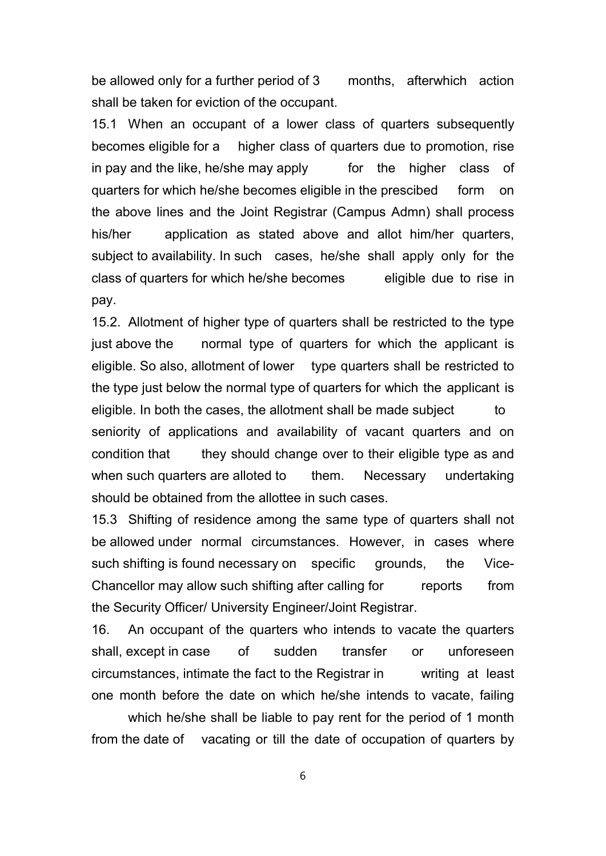be allowed only for a further period of 3 months, afterwhich action shall be taken for eviction of the occupant.

15.1 When an occupant of a lower class of quarters subsequently becomes eligible for a higher class of quarters due to promotion, rise in pay and the like, he/she may apply for the higher class of quarters for which he/she becomes eligible in the prescibed form on the above lines and the Joint Registrar (Campus Admn) shall process his/her application as stated above and allot him/her quarters, subject to availability. In such cases, he/she shall apply only for the class of quarters for which he/she becomes eligible due to rise in pay.

15.2. Allotment of higher type of quarters shall be restricted to the type just above the normal type of quarters for which the applicant is eligible. So also, allotment of lower type quarters shall be restricted to the type just below the normal type of quarters for which the applicant is eligible. In both the cases, the allotment shall be made subject to seniority of applications and availability of vacant quarters and on condition that they should change over to their eligible type as and when such quarters are alloted to them. Necessary undertaking should be obtained from the allottee in such cases.

15.3 Shifting of residence among the same type of quarters shall not be allowed under normal circumstances. However, in cases where such shifting is found necessary on specific grounds, the Vice-Chancellor may allow such shifting after calling for reports from the Security Officer/ University Engineer/Joint Registrar.

16. An occupant of the quarters who intends to vacate the quarters shall, except in case of sudden transfer or unforeseen circumstances, intimate the fact to the Registrar in writing at least one month before the date on which he/she intends to vacate, failing

which he/she shall be liable to pay rent for the period of 1 month from the date of vacating or till the date of occupation of quarters by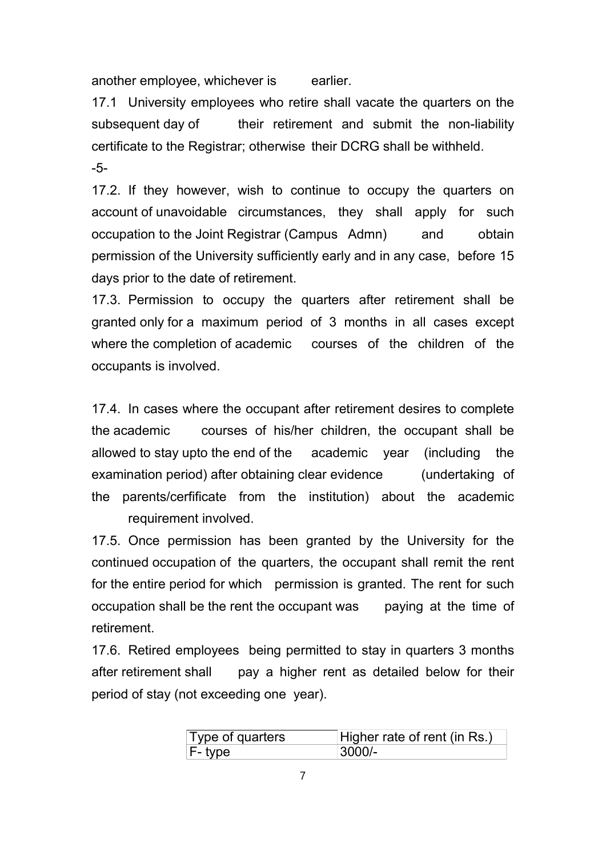another employee, whichever is earlier.

17.1 University employees who retire shall vacate the quarters on the subsequent day of their retirement and submit the non-liability certificate to the Registrar; otherwise their DCRG shall be withheld. -5-

17.2. If they however, wish to continue to occupy the quarters on account of unavoidable circumstances, they shall apply for such occupation to the Joint Registrar (Campus Admn) and obtain permission of the University sufficiently early and in any case, before 15 days prior to the date of retirement.

17.3. Permission to occupy the quarters after retirement shall be granted only for a maximum period of 3 months in all cases except where the completion of academic courses of the children of the occupants is involved.

17.4. In cases where the occupant after retirement desires to complete the academic courses of his/her children, the occupant shall be allowed to stay upto the end of the academic year (including the examination period) after obtaining clear evidence (undertaking of the parents/cerfificate from the institution) about the academic requirement involved.

17.5. Once permission has been granted by the University for the continued occupation of the quarters, the occupant shall remit the rent for the entire period for which permission is granted. The rent for such occupation shall be the rent the occupant was paying at the time of retirement.

17.6. Retired employees being permitted to stay in quarters 3 months after retirement shall pay a higher rent as detailed below for their period of stay (not exceeding one year).

| Type of quarters | Higher rate of rent (in Rs.) |
|------------------|------------------------------|
| F- type          | $3000/-$                     |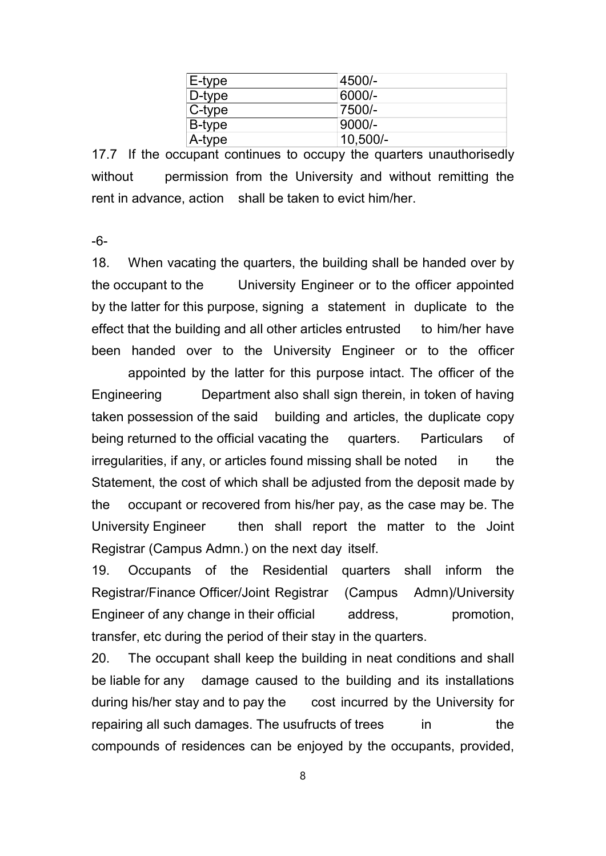| E-type | 4500/-     |
|--------|------------|
| D-type | 6000/-     |
| C-type | 7500/-     |
| B-type | $9000/-$   |
| A-type | $10,500/-$ |

17.7 If the occupant continues to occupy the quarters unauthorisedly without permission from the University and without remitting the rent in advance, action shall be taken to evict him/her.

-6-

18. When vacating the quarters, the building shall be handed over by the occupant to the University Engineer or to the officer appointed by the latter for this purpose, signing a statement in duplicate to the effect that the building and all other articles entrusted to him/her have been handed over to the University Engineer or to the officer

appointed by the latter for this purpose intact. The officer of the Engineering Department also shall sign therein, in token of having taken possession of the said building and articles, the duplicate copy being returned to the official vacating the quarters. Particulars of irregularities, if any, or articles found missing shall be noted in the Statement, the cost of which shall be adjusted from the deposit made by the occupant or recovered from his/her pay, as the case may be. The University Engineer then shall report the matter to the Joint Registrar (Campus Admn.) on the next day itself.

19. Occupants of the Residential quarters shall inform the Registrar/Finance Officer/Joint Registrar (Campus Admn)/University Engineer of any change in their official address, promotion, transfer, etc during the period of their stay in the quarters.

20. The occupant shall keep the building in neat conditions and shall be liable for any damage caused to the building and its installations during his/her stay and to pay the cost incurred by the University for repairing all such damages. The usufructs of trees in the compounds of residences can be enjoyed by the occupants, provided,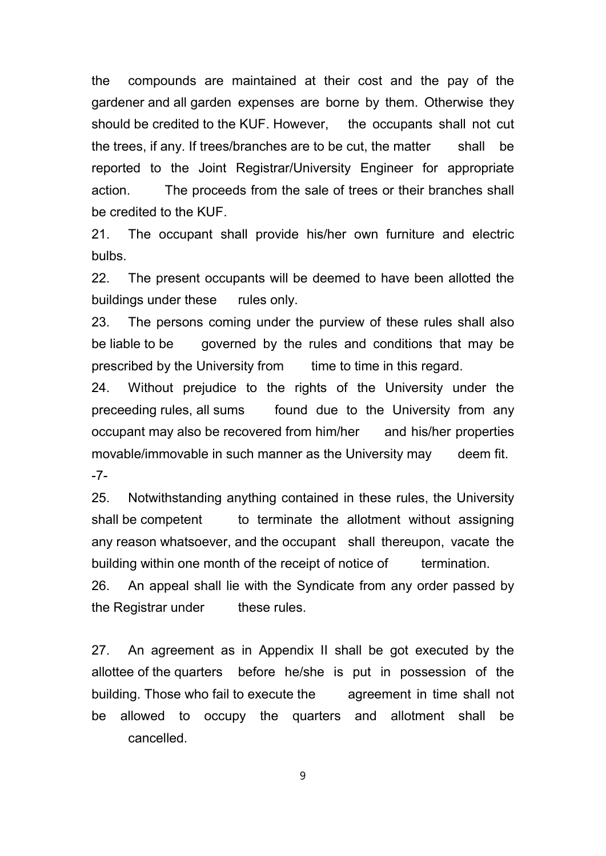the compounds are maintained at their cost and the pay of the gardener and all garden expenses are borne by them. Otherwise they should be credited to the KUF. However, the occupants shall not cut the trees, if any. If trees/branches are to be cut, the matter shall be reported to the Joint Registrar/University Engineer for appropriate action. The proceeds from the sale of trees or their branches shall be credited to the KUF.

21. The occupant shall provide his/her own furniture and electric bulbs.

22. The present occupants will be deemed to have been allotted the buildings under these rules only.

23. The persons coming under the purview of these rules shall also be liable to be governed by the rules and conditions that may be prescribed by the University from time to time in this regard.

24. Without prejudice to the rights of the University under the preceeding rules, all sums found due to the University from any occupant may also be recovered from him/her and his/her properties movable/immovable in such manner as the University may deem fit. -7-

25. Notwithstanding anything contained in these rules, the University shall be competent to terminate the allotment without assigning any reason whatsoever, and the occupant shall thereupon, vacate the building within one month of the receipt of notice of termination.

26. An appeal shall lie with the Syndicate from any order passed by the Registrar under these rules.

27. An agreement as in Appendix II shall be got executed by the allottee of the quarters before he/she is put in possession of the building. Those who fail to execute the agreement in time shall not be allowed to occupy the quarters and allotment shall be cancelled.